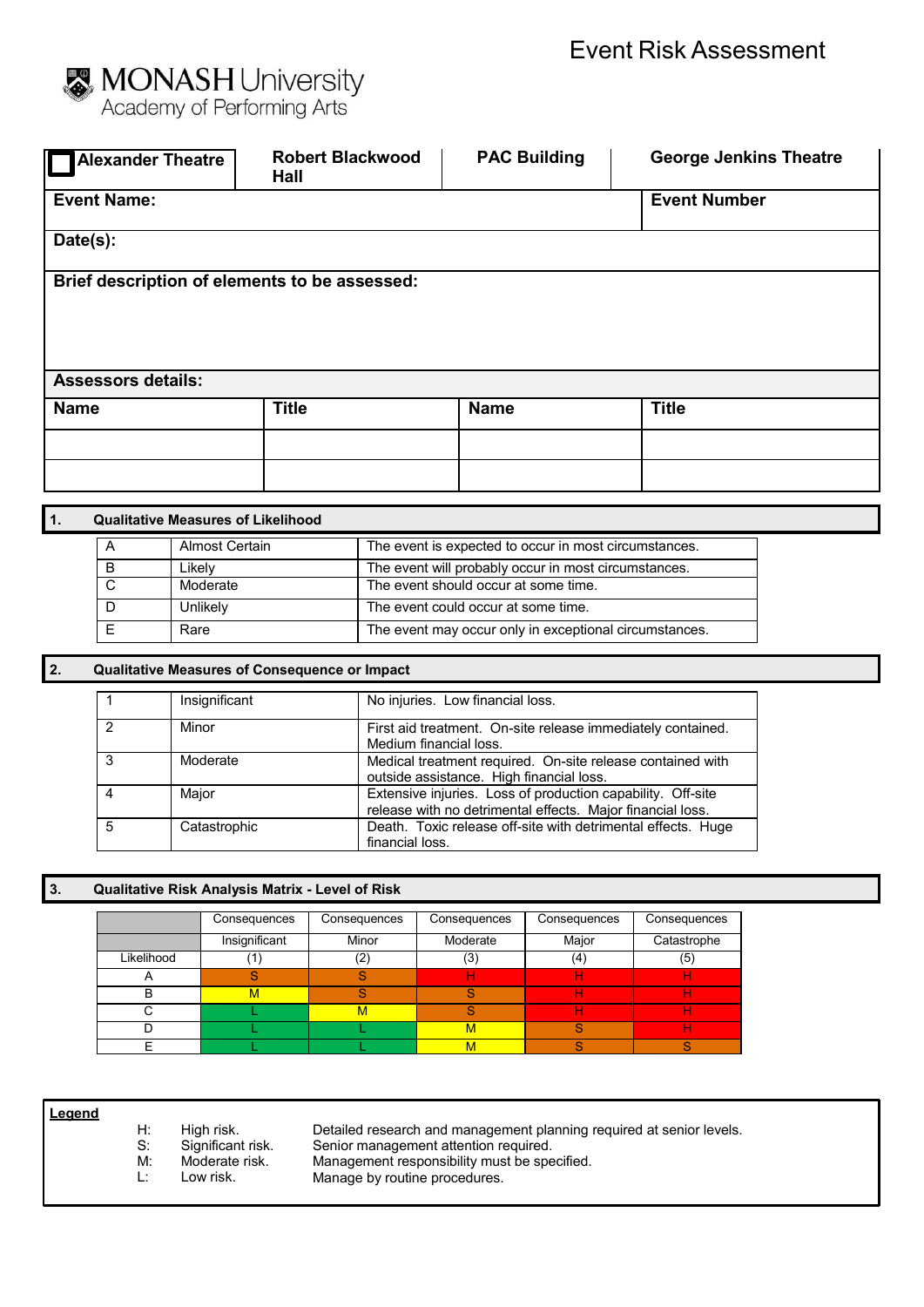

| <b>Alexander Theatre</b>                                      | <b>Robert Blackwood</b><br>Hall               | <b>PAC Building</b>                                                                   | <b>George Jenkins Theatre</b> |
|---------------------------------------------------------------|-----------------------------------------------|---------------------------------------------------------------------------------------|-------------------------------|
| <b>Event Name:</b>                                            |                                               |                                                                                       | <b>Event Number</b>           |
| Date(s):                                                      |                                               |                                                                                       |                               |
| Brief description of elements to be assessed:                 |                                               |                                                                                       |                               |
| <b>Assessors details:</b>                                     |                                               |                                                                                       |                               |
| <b>Name</b>                                                   | <b>Title</b>                                  | <b>Name</b>                                                                           | <b>Title</b>                  |
|                                                               |                                               |                                                                                       |                               |
|                                                               |                                               |                                                                                       |                               |
| $\overline{1}$ .<br><b>Qualitative Measures of Likelihood</b> |                                               |                                                                                       |                               |
| <b>Almost Certain</b><br>A                                    |                                               | The event is expected to occur in most circumstances.                                 |                               |
| в<br>Likely                                                   |                                               | The event will probably occur in most circumstances.                                  |                               |
| $\overline{\text{c}}$<br>Moderate                             |                                               | The event should occur at some time.                                                  |                               |
| D<br>Unlikely                                                 |                                               | The event could occur at some time.                                                   |                               |
| $\overline{E}$<br>Rare                                        |                                               | The event may occur only in exceptional circumstances.                                |                               |
| $\vert$ 2.                                                    | Qualitative Measures of Consequence or Impact |                                                                                       |                               |
| Insignificant<br>1                                            |                                               | No injuries. Low financial loss.                                                      |                               |
| $\overline{2}$<br>Minor                                       |                                               | First aid treatment. On-site release immediately contained.<br>Medium financial loss. |                               |
| $\mathcal{R}$<br>Moderate                                     |                                               | Medical treatment required On-site release contained with                             |                               |

| ີ | <b>IVIUUGIQIG</b> | <u>Medical treatment required. On-site release contained with</u>                                                         |
|---|-------------------|---------------------------------------------------------------------------------------------------------------------------|
|   |                   | outside assistance. High financial loss.                                                                                  |
| 4 | Maior             | Extensive injuries. Loss of production capability. Off-site<br>release with no detrimental effects. Maior financial loss. |
| 5 | Catastrophic      | Death. Toxic release off-site with detrimental effects. Huge<br>financial loss.                                           |

## **3. Qualitative Risk Analysis Matrix - Level of Risk**

|            | Consequences  | Consequences | Consequences | Consequences | Consequences |
|------------|---------------|--------------|--------------|--------------|--------------|
|            | Insignificant | Minor        | Moderate     | Major        | Catastrophe  |
| Likelihood |               | (2)          | (3)          | (4)          | (5)          |
|            |               |              |              |              |              |
| B          | м             |              |              |              |              |
|            |               | M            |              |              |              |
|            |               |              | м            |              |              |
|            |               |              | м            |              |              |

- **Legend**
- 
- H: High risk.<br>S: Significan S: Significant risk.<br>M: Moderate risk.
	- M: Moderate risk.<br>L: Low risk.
	- Low risk.

Detailed research and management planning required at senior levels. Senior management attention required. Management responsibility must be specified.

Manage by routine procedures.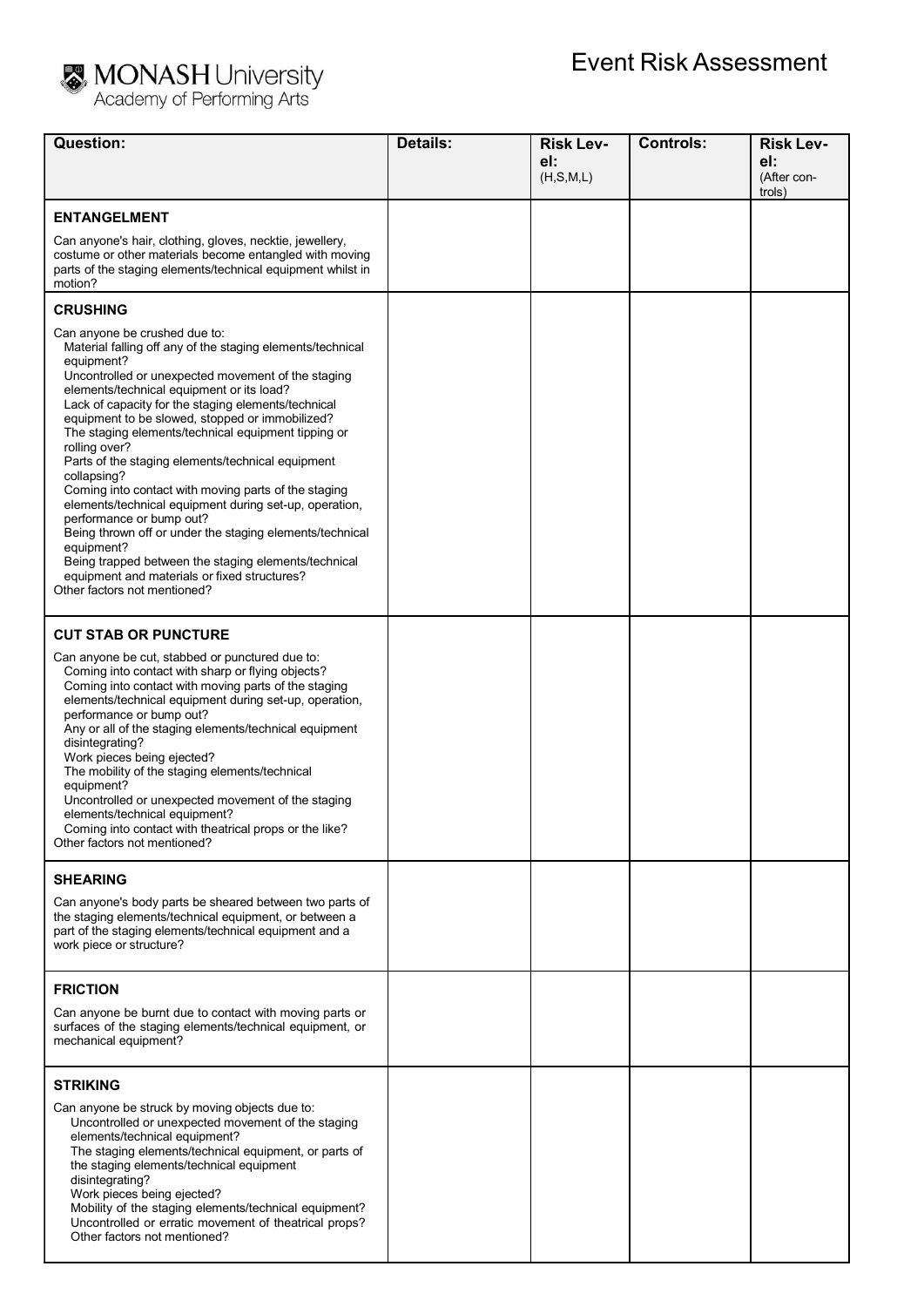

## MONASH University<br>Academy of Performing Arts

| Question:                                                                                                                                                                                                                                                                                                                                                                                                                                                                                                                                                                                                                                                                                                                                                                                                                          | <b>Details:</b> | <b>Risk Lev-</b><br>el: | <b>Controls:</b> | <b>Risk Lev-</b><br>el: |
|------------------------------------------------------------------------------------------------------------------------------------------------------------------------------------------------------------------------------------------------------------------------------------------------------------------------------------------------------------------------------------------------------------------------------------------------------------------------------------------------------------------------------------------------------------------------------------------------------------------------------------------------------------------------------------------------------------------------------------------------------------------------------------------------------------------------------------|-----------------|-------------------------|------------------|-------------------------|
|                                                                                                                                                                                                                                                                                                                                                                                                                                                                                                                                                                                                                                                                                                                                                                                                                                    |                 | (H, S, M, L)            |                  | (After con-<br>trols)   |
| <b>ENTANGELMENT</b>                                                                                                                                                                                                                                                                                                                                                                                                                                                                                                                                                                                                                                                                                                                                                                                                                |                 |                         |                  |                         |
| Can anyone's hair, clothing, gloves, necktie, jewellery,<br>costume or other materials become entangled with moving<br>parts of the staging elements/technical equipment whilst in<br>motion?                                                                                                                                                                                                                                                                                                                                                                                                                                                                                                                                                                                                                                      |                 |                         |                  |                         |
| <b>CRUSHING</b>                                                                                                                                                                                                                                                                                                                                                                                                                                                                                                                                                                                                                                                                                                                                                                                                                    |                 |                         |                  |                         |
| Can anyone be crushed due to:<br>Material falling off any of the staging elements/technical<br>equipment?<br>Uncontrolled or unexpected movement of the staging<br>elements/technical equipment or its load?<br>Lack of capacity for the staging elements/technical<br>equipment to be slowed, stopped or immobilized?<br>The staging elements/technical equipment tipping or<br>rolling over?<br>Parts of the staging elements/technical equipment<br>collapsing?<br>Coming into contact with moving parts of the staging<br>elements/technical equipment during set-up, operation,<br>performance or bump out?<br>Being thrown off or under the staging elements/technical<br>equipment?<br>Being trapped between the staging elements/technical<br>equipment and materials or fixed structures?<br>Other factors not mentioned? |                 |                         |                  |                         |
| <b>CUT STAB OR PUNCTURE</b>                                                                                                                                                                                                                                                                                                                                                                                                                                                                                                                                                                                                                                                                                                                                                                                                        |                 |                         |                  |                         |
| Can anyone be cut, stabbed or punctured due to:<br>Coming into contact with sharp or flying objects?<br>Coming into contact with moving parts of the staging<br>elements/technical equipment during set-up, operation,<br>performance or bump out?<br>Any or all of the staging elements/technical equipment<br>disintegrating?<br>Work pieces being ejected?<br>The mobility of the staging elements/technical<br>equipment?<br>Uncontrolled or unexpected movement of the staging<br>elements/technical equipment?<br>Coming into contact with theatrical props or the like?<br>Other factors not mentioned?                                                                                                                                                                                                                     |                 |                         |                  |                         |
| <b>SHEARING</b>                                                                                                                                                                                                                                                                                                                                                                                                                                                                                                                                                                                                                                                                                                                                                                                                                    |                 |                         |                  |                         |
| Can anyone's body parts be sheared between two parts of<br>the staging elements/technical equipment, or between a<br>part of the staging elements/technical equipment and a<br>work piece or structure?                                                                                                                                                                                                                                                                                                                                                                                                                                                                                                                                                                                                                            |                 |                         |                  |                         |
| <b>FRICTION</b>                                                                                                                                                                                                                                                                                                                                                                                                                                                                                                                                                                                                                                                                                                                                                                                                                    |                 |                         |                  |                         |
| Can anyone be burnt due to contact with moving parts or<br>surfaces of the staging elements/technical equipment, or<br>mechanical equipment?                                                                                                                                                                                                                                                                                                                                                                                                                                                                                                                                                                                                                                                                                       |                 |                         |                  |                         |
| <b>STRIKING</b>                                                                                                                                                                                                                                                                                                                                                                                                                                                                                                                                                                                                                                                                                                                                                                                                                    |                 |                         |                  |                         |
| Can anyone be struck by moving objects due to:<br>Uncontrolled or unexpected movement of the staging<br>elements/technical equipment?<br>The staging elements/technical equipment, or parts of<br>the staging elements/technical equipment<br>disintegrating?<br>Work pieces being ejected?<br>Mobility of the staging elements/technical equipment?<br>Uncontrolled or erratic movement of theatrical props?<br>Other factors not mentioned?                                                                                                                                                                                                                                                                                                                                                                                      |                 |                         |                  |                         |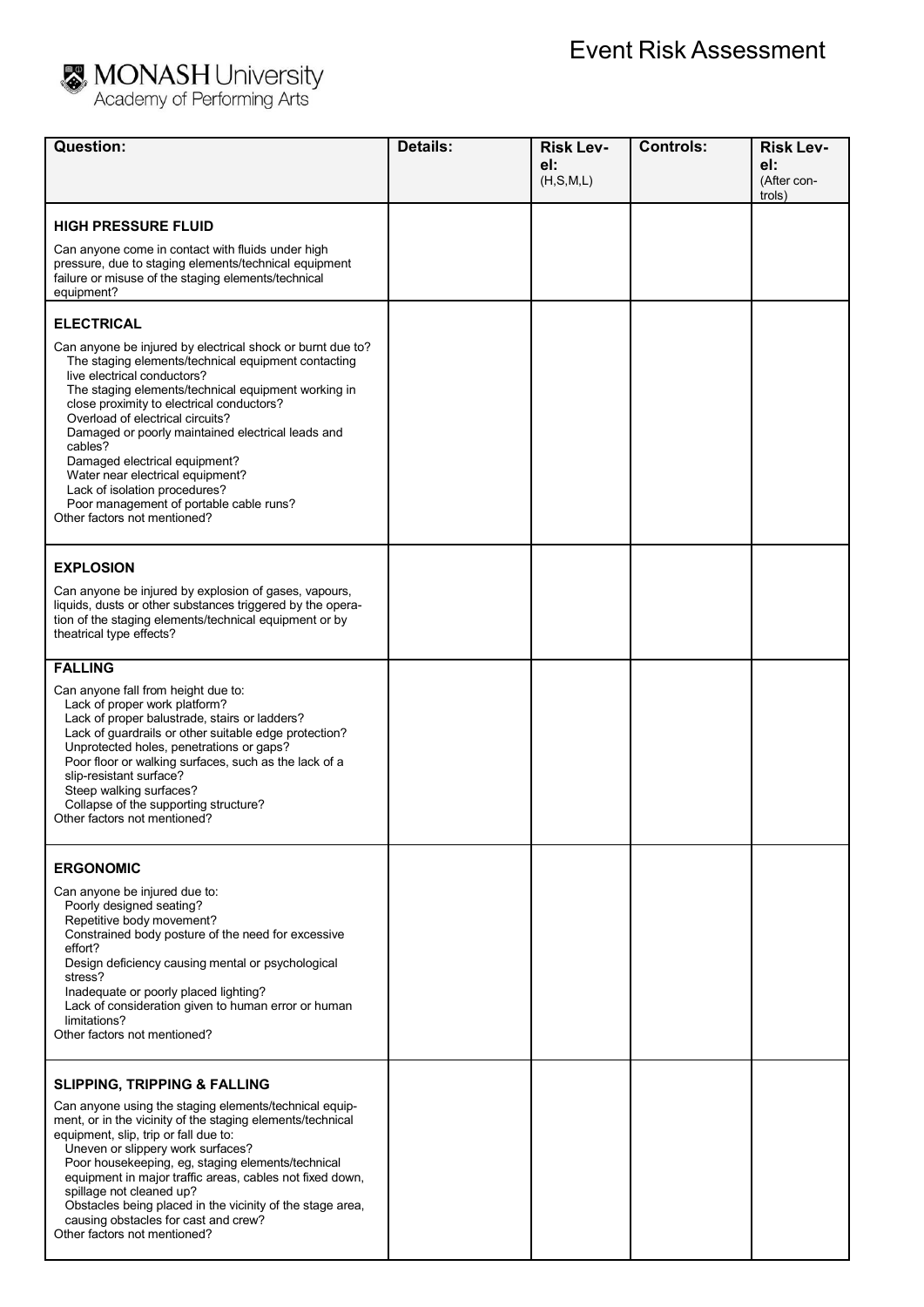## **Event Risk Assessment**<br>Academy of Performing Arts

| <b>Question:</b>                                                                                                                                                                                                                                                                                                                                                                                                                                                                                                                                               | <b>Details:</b> | <b>Risk Lev-</b><br>el:<br>(H, S, M, L) | <b>Controls:</b> | <b>Risk Lev-</b><br>el:<br>(After con-<br>trols) |
|----------------------------------------------------------------------------------------------------------------------------------------------------------------------------------------------------------------------------------------------------------------------------------------------------------------------------------------------------------------------------------------------------------------------------------------------------------------------------------------------------------------------------------------------------------------|-----------------|-----------------------------------------|------------------|--------------------------------------------------|
| <b>HIGH PRESSURE FLUID</b><br>Can anyone come in contact with fluids under high<br>pressure, due to staging elements/technical equipment<br>failure or misuse of the staging elements/technical<br>equipment?                                                                                                                                                                                                                                                                                                                                                  |                 |                                         |                  |                                                  |
| <b>ELECTRICAL</b><br>Can anyone be injured by electrical shock or burnt due to?<br>The staging elements/technical equipment contacting<br>live electrical conductors?<br>The staging elements/technical equipment working in<br>close proximity to electrical conductors?<br>Overload of electrical circuits?<br>Damaged or poorly maintained electrical leads and<br>cables?<br>Damaged electrical equipment?<br>Water near electrical equipment?<br>Lack of isolation procedures?<br>Poor management of portable cable runs?<br>Other factors not mentioned? |                 |                                         |                  |                                                  |
| <b>EXPLOSION</b><br>Can anyone be injured by explosion of gases, vapours,<br>liquids, dusts or other substances triggered by the opera-<br>tion of the staging elements/technical equipment or by<br>theatrical type effects?                                                                                                                                                                                                                                                                                                                                  |                 |                                         |                  |                                                  |
| <b>FALLING</b><br>Can anyone fall from height due to:<br>Lack of proper work platform?<br>Lack of proper balustrade, stairs or ladders?<br>Lack of guardrails or other suitable edge protection?<br>Unprotected holes, penetrations or gaps?<br>Poor floor or walking surfaces, such as the lack of a<br>slip-resistant surface?<br>Steep walking surfaces?<br>Collapse of the supporting structure?<br>Other factors not mentioned?                                                                                                                           |                 |                                         |                  |                                                  |
| <b>ERGONOMIC</b><br>Can anyone be injured due to:<br>Poorly designed seating?<br>Repetitive body movement?<br>Constrained body posture of the need for excessive<br>effort?<br>Design deficiency causing mental or psychological<br>stress?<br>Inadequate or poorly placed lighting?<br>Lack of consideration given to human error or human<br>limitations?<br>Other factors not mentioned?                                                                                                                                                                    |                 |                                         |                  |                                                  |
| <b>SLIPPING, TRIPPING &amp; FALLING</b><br>Can anyone using the staging elements/technical equip-<br>ment, or in the vicinity of the staging elements/technical<br>equipment, slip, trip or fall due to:<br>Uneven or slippery work surfaces?<br>Poor housekeeping, eg, staging elements/technical<br>equipment in major traffic areas, cables not fixed down,<br>spillage not cleaned up?<br>Obstacles being placed in the vicinity of the stage area,<br>causing obstacles for cast and crew?<br>Other factors not mentioned?                                |                 |                                         |                  |                                                  |